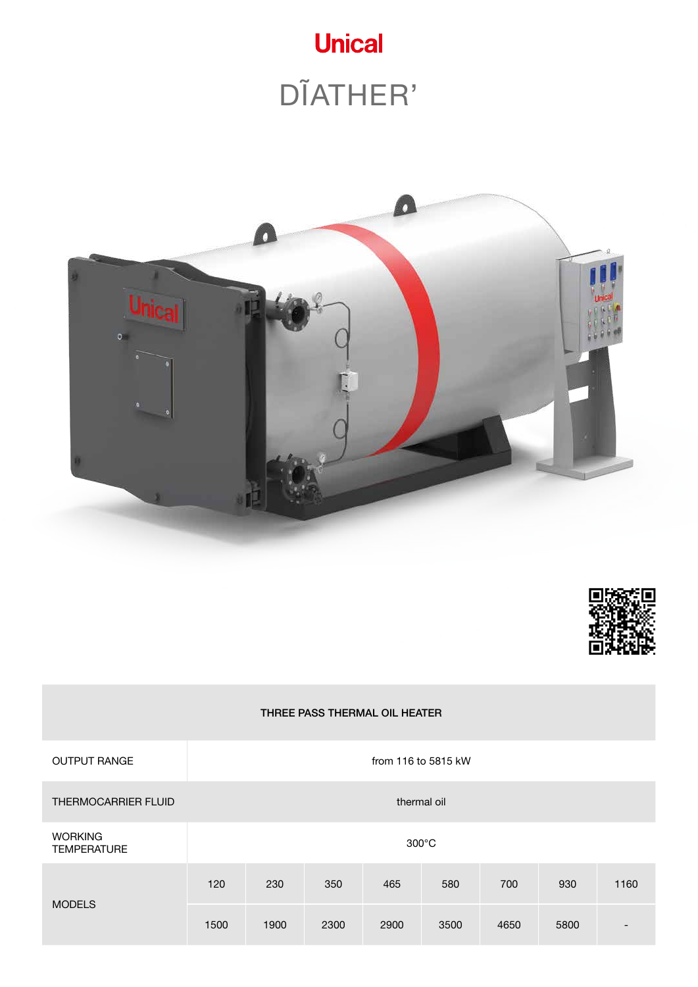





### THREE PASS THERMAL OIL HEATER

| <b>OUTPUT RANGE</b>                  | from 116 to 5815 kW |      |      |             |      |      |      |      |  |
|--------------------------------------|---------------------|------|------|-------------|------|------|------|------|--|
| <b>THERMOCARRIER FLUID</b>           |                     |      |      | thermal oil |      |      |      |      |  |
| <b>WORKING</b><br><b>TEMPERATURE</b> | $300^{\circ}$ C     |      |      |             |      |      |      |      |  |
|                                      | 120                 | 230  | 350  | 465         | 580  | 700  | 930  | 1160 |  |
| <b>MODELS</b>                        | 1500                | 1900 | 2300 | 2900        | 3500 | 4650 | 5800 | -    |  |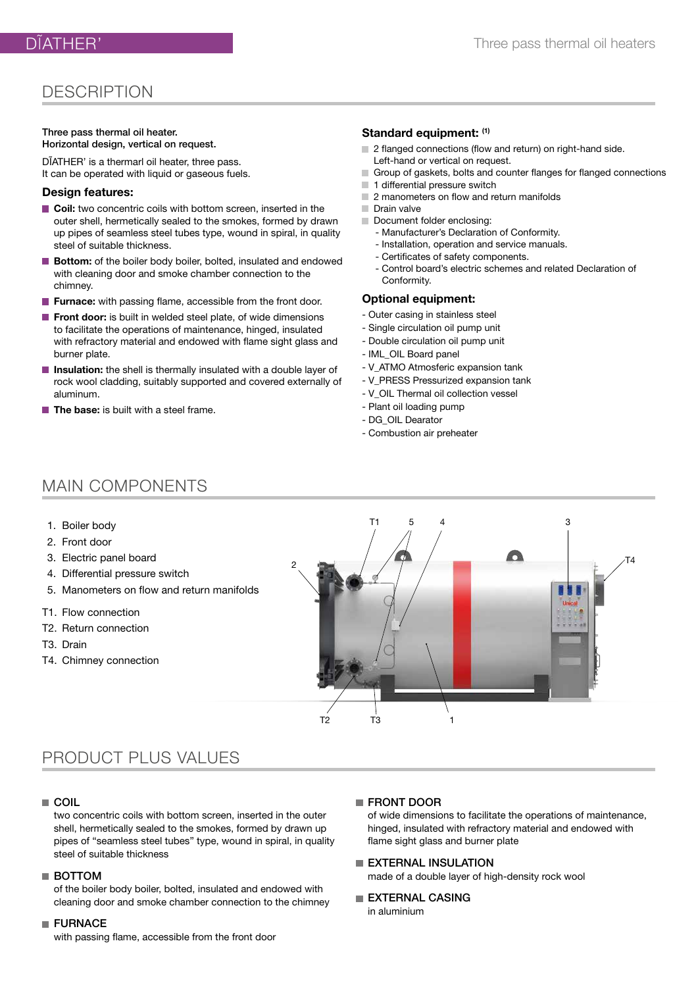## **DESCRIPTION**

#### Three pass thermal oil heater. Horizontal design, vertical on request.

DĨATHER' is a thermarl oil heater, three pass. It can be operated with liquid or gaseous fuels.

#### **Design features:**

- **Coil:** two concentric coils with bottom screen, inserted in the outer shell, hermetically sealed to the smokes, formed by drawn up pipes of seamless steel tubes type, wound in spiral, in quality steel of suitable thickness.
- **Bottom:** of the boiler body boiler, bolted, insulated and endowed with cleaning door and smoke chamber connection to the chimney.
- **Furnace:** with passing flame, accessible from the front door.
- **Front door:** is built in welded steel plate, of wide dimensions to facilitate the operations of maintenance, hinged, insulated with refractory material and endowed with flame sight glass and burner plate.
- **Insulation:** the shell is thermally insulated with a double layer of rock wool cladding, suitably supported and covered externally of aluminum.
- **The base:** is built with a steel frame.

#### **Standard equipment: (1)**

- 2 flanged connections (flow and return) on right-hand side.
- Left-hand or vertical on request.
- Group of gaskets, bolts and counter flanges for flanged connections
- 1 differential pressure switch
- 2 manometers on flow and return manifolds
- Drain valve
- Document folder enclosing:
	- Manufacturer's Declaration of Conformity.
	- Installation, operation and service manuals.
	- Certificates of safety components.
	- Control board's electric schemes and related Declaration of Conformity.

#### **Optional equipment:**

- Outer casing in stainless steel
- Single circulation oil pump unit
- Double circulation oil pump unit
- IML\_OIL Board panel
- V\_ATMO Atmosferic expansion tank
- V\_PRESS Pressurized expansion tank
- V\_OIL Thermal oil collection vessel
- Plant oil loading pump
- DG\_OIL Dearator
- Combustion air preheater

## MAIN COMPONENTS

- 1. Boiler body
- 2. Front door
- 3. Electric panel board
- 4. Differential pressure switch
- 5. Manometers on flow and return manifolds
- T1. Flow connection
- T2. Return connection
- T3. Drain
- T4. Chimney connection



## PRODUCT PLUS VALUES

### ■ COIL

two concentric coils with bottom screen, inserted in the outer shell, hermetically sealed to the smokes, formed by drawn up pipes of "seamless steel tubes" type, wound in spiral, in quality steel of suitable thickness

#### ■ BOTTOM

of the boiler body boiler, bolted, insulated and endowed with cleaning door and smoke chamber connection to the chimney

#### **FURNACE**

with passing flame, accessible from the front door

#### **FRONT DOOR**

of wide dimensions to facilitate the operations of maintenance, hinged, insulated with refractory material and endowed with flame sight glass and burner plate

**EXTERNAL INSULATION** 

made of a double layer of high-density rock wool

EXTERNAL CASING in aluminium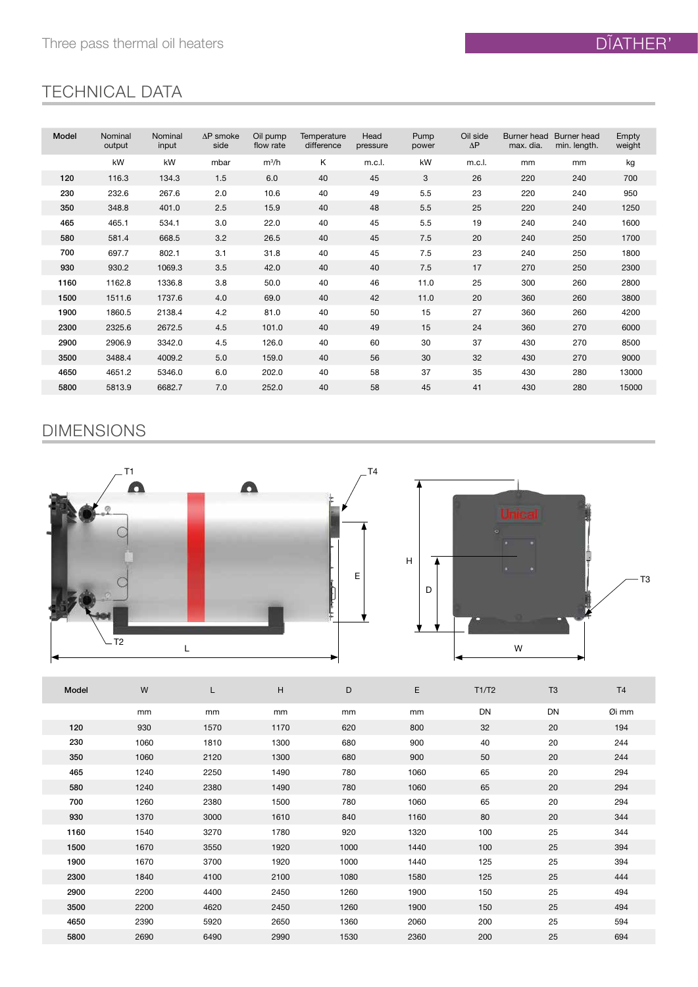# TECHNICAL DATA

| Model | Nominal | Nominal | $\Delta P$ smoke | Oil pump  | Temperature | Head     | Pump  | Oil side   | Burner head | Burner head  | Empty  |
|-------|---------|---------|------------------|-----------|-------------|----------|-------|------------|-------------|--------------|--------|
|       | output  | input   | side             | flow rate | difference  | pressure | power | $\Delta P$ | max. dia.   | min. length. | weight |
|       | kW      | kW      | mbar             | $m^3/h$   | Κ           | m.c.l.   | kW    | m.c.l.     | mm          | mm           | kg     |
| 120   | 116.3   | 134.3   | 1.5              | 6.0       | 40          | 45       | 3     | 26         | 220         | 240          | 700    |
| 230   | 232.6   | 267.6   | 2.0              | 10.6      | 40          | 49       | 5.5   | 23         | 220         | 240          | 950    |
| 350   | 348.8   | 401.0   | 2.5              | 15.9      | 40          | 48       | 5.5   | 25         | 220         | 240          | 1250   |
| 465   | 465.1   | 534.1   | 3.0              | 22.0      | 40          | 45       | 5.5   | 19         | 240         | 240          | 1600   |
| 580   | 581.4   | 668.5   | 3.2              | 26.5      | 40          | 45       | 7.5   | 20         | 240         | 250          | 1700   |
| 700   | 697.7   | 802.1   | 3.1              | 31.8      | 40          | 45       | 7.5   | 23         | 240         | 250          | 1800   |
| 930   | 930.2   | 1069.3  | 3.5              | 42.0      | 40          | 40       | 7.5   | 17         | 270         | 250          | 2300   |
| 1160  | 1162.8  | 1336.8  | 3.8              | 50.0      | 40          | 46       | 11.0  | 25         | 300         | 260          | 2800   |
| 1500  | 1511.6  | 1737.6  | 4.0              | 69.0      | 40          | 42       | 11.0  | 20         | 360         | 260          | 3800   |
| 1900  | 1860.5  | 2138.4  | 4.2              | 81.0      | 40          | 50       | 15    | 27         | 360         | 260          | 4200   |
| 2300  | 2325.6  | 2672.5  | 4.5              | 101.0     | 40          | 49       | 15    | 24         | 360         | 270          | 6000   |
| 2900  | 2906.9  | 3342.0  | 4.5              | 126.0     | 40          | 60       | 30    | 37         | 430         | 270          | 8500   |
| 3500  | 3488.4  | 4009.2  | 5.0              | 159.0     | 40          | 56       | 30    | 32         | 430         | 270          | 9000   |
| 4650  | 4651.2  | 5346.0  | 6.0              | 202.0     | 40          | 58       | 37    | 35         | 430         | 280          | 13000  |
| 5800  | 5813.9  | 6682.7  | 7.0              | 252.0     | 40          | 58       | 45    | 41         | 430         | 280          | 15000  |

# DIMENSIONS





| Model | W    | L    | н    | D    | E    | T1/T2     | T <sub>3</sub> | T <sub>4</sub> |
|-------|------|------|------|------|------|-----------|----------------|----------------|
|       | mm   | mm   | mm   | mm   | mm   | <b>DN</b> | <b>DN</b>      | Øi mm          |
| 120   | 930  | 1570 | 1170 | 620  | 800  | 32        | 20             | 194            |
| 230   | 1060 | 1810 | 1300 | 680  | 900  | 40        | 20             | 244            |
| 350   | 1060 | 2120 | 1300 | 680  | 900  | 50        | 20             | 244            |
| 465   | 1240 | 2250 | 1490 | 780  | 1060 | 65        | 20             | 294            |
| 580   | 1240 | 2380 | 1490 | 780  | 1060 | 65        | 20             | 294            |
| 700   | 1260 | 2380 | 1500 | 780  | 1060 | 65        | 20             | 294            |
| 930   | 1370 | 3000 | 1610 | 840  | 1160 | 80        | 20             | 344            |
| 1160  | 1540 | 3270 | 1780 | 920  | 1320 | 100       | 25             | 344            |
| 1500  | 1670 | 3550 | 1920 | 1000 | 1440 | 100       | 25             | 394            |
| 1900  | 1670 | 3700 | 1920 | 1000 | 1440 | 125       | 25             | 394            |
| 2300  | 1840 | 4100 | 2100 | 1080 | 1580 | 125       | 25             | 444            |
| 2900  | 2200 | 4400 | 2450 | 1260 | 1900 | 150       | 25             | 494            |
| 3500  | 2200 | 4620 | 2450 | 1260 | 1900 | 150       | 25             | 494            |
| 4650  | 2390 | 5920 | 2650 | 1360 | 2060 | 200       | 25             | 594            |
| 5800  | 2690 | 6490 | 2990 | 1530 | 2360 | 200       | 25             | 694            |